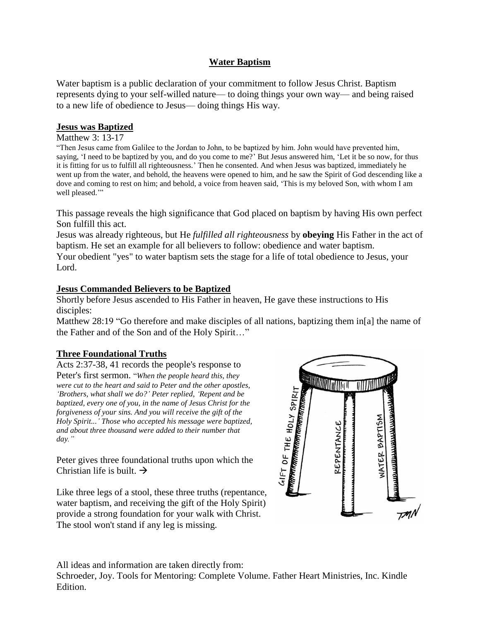## **Water Baptism**

Water baptism is a public declaration of your commitment to follow Jesus Christ. Baptism represents dying to your self-willed nature— to doing things your own way— and being raised to a new life of obedience to Jesus— doing things His way.

### **Jesus was Baptized**

#### Matthew 3: 13-17

"Then Jesus came from Galilee to the Jordan to John, to be baptized by him. John would have prevented him, saying, 'I need to be baptized by you, and do you come to me?' But Jesus answered him, 'Let it be so now, for thus it is fitting for us to fulfill all righteousness.' Then he consented. And when Jesus was baptized, immediately he went up from the water, and behold, the heavens were opened to him, and he saw the Spirit of God descending like a dove and coming to rest on him; and behold, a voice from heaven said, 'This is my beloved Son, with whom I am well pleased."

This passage reveals the high significance that God placed on baptism by having His own perfect Son fulfill this act.

Jesus was already righteous, but He *fulfilled all righteousness* by **obeying** His Father in the act of baptism. He set an example for all believers to follow: obedience and water baptism.

Your obedient "yes" to water baptism sets the stage for a life of total obedience to Jesus, your Lord.

#### **Jesus Commanded Believers to be Baptized**

Shortly before Jesus ascended to His Father in heaven, He gave these instructions to His disciples:

Matthew 28:19 "Go therefore and make disciples of all nations, baptizing them in[a] the name of the Father and of the Son and of the Holy Spirit…"

### **Three Foundational Truths**

Acts 2:37-38, 41 records the people's response to Peter's first sermon. "*When the people heard this, they were cut to the heart and said to Peter and the other apostles, 'Brothers, what shall we do?' Peter replied, 'Repent and be baptized, every one of you, in the name of Jesus Christ for the forgiveness of your sins. And you will receive the gift of the Holy Spirit...' Those who accepted his message were baptized, and about three thousand were added to their number that day."*

Peter gives three foundational truths upon which the Christian life is built.  $\rightarrow$ 

Like three legs of a stool, these three truths (repentance, water baptism, and receiving the gift of the Holy Spirit) provide a strong foundation for your walk with Christ. The stool won't stand if any leg is missing.



All ideas and information are taken directly from:

Schroeder, Joy. Tools for Mentoring: Complete Volume. Father Heart Ministries, Inc. Kindle Edition.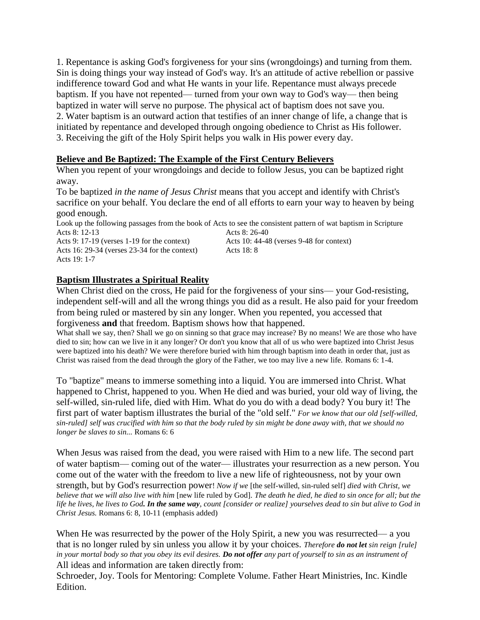1. Repentance is asking God's forgiveness for your sins (wrongdoings) and turning from them. Sin is doing things your way instead of God's way. It's an attitude of active rebellion or passive indifference toward God and what He wants in your life. Repentance must always precede baptism. If you have not repented— turned from your own way to God's way— then being baptized in water will serve no purpose. The physical act of baptism does not save you. 2. Water baptism is an outward action that testifies of an inner change of life, a change that is initiated by repentance and developed through ongoing obedience to Christ as His follower. 3. Receiving the gift of the Holy Spirit helps you walk in His power every day.

### **Believe and Be Baptized: The Example of the First Century Believers**

When you repent of your wrongdoings and decide to follow Jesus, you can be baptized right away.

To be baptized *in the name of Jesus Christ* means that you accept and identify with Christ's sacrifice on your behalf. You declare the end of all efforts to earn your way to heaven by being good enough.

Look up the following passages from the book of Acts to see the consistent pattern of wat baptism in Scripture Acts 8: 12-13 Acts 8: 26-40 Acts 9: 17-19 (verses 1-19 for the context) Acts 10: 44-48 (verses 9-48 for context) Acts 16: 29-34 (verses 23-34 for the context) Acts 18: 8 Acts 19: 1-7

### **Baptism Illustrates a Spiritual Reality**

When Christ died on the cross, He paid for the forgiveness of your sins— your God-resisting, independent self-will and all the wrong things you did as a result. He also paid for your freedom from being ruled or mastered by sin any longer. When you repented, you accessed that forgiveness **and** that freedom. Baptism shows how that happened.

What shall we say, then? Shall we go on sinning so that grace may increase? By no means! We are those who have died to sin; how can we live in it any longer? Or don't you know that all of us who were baptized into Christ Jesus were baptized into his death? We were therefore buried with him through baptism into death in order that, just as Christ was raised from the dead through the glory of the Father, we too may live a new life. Romans 6: 1-4.

To "baptize" means to immerse something into a liquid. You are immersed into Christ. What happened to Christ, happened to you. When He died and was buried, your old way of living, the self-willed, sin-ruled life, died with Him. What do you do with a dead body? You bury it! The first part of water baptism illustrates the burial of the "old self." *For we know that our old [self-willed, sin-ruled] self was crucified with him so that the body ruled by sin might be done away with, that we should no longer be slaves to sin...* Romans 6: 6

When Jesus was raised from the dead, you were raised with Him to a new life. The second part of water baptism— coming out of the water— illustrates your resurrection as a new person. You come out of the water with the freedom to live a new life of righteousness, not by your own strength, but by God's resurrection power! *Now if we* [the self-willed, sin-ruled self] *died with Christ, we believe that we will also live with him* [new life ruled by God]. *The death he died, he died to sin once for all; but the life he lives, he lives to God. In the same way, count [consider or realize] yourselves dead to sin but alive to God in Christ Jesus.* Romans 6: 8, 10-11 (emphasis added)

All ideas and information are taken directly from: When He was resurrected by the power of the Holy Spirit, a new you was resurrected— a you that is no longer ruled by sin unless you allow it by your choices. *Therefore do not let sin reign [rule] in your mortal body so that you obey its evil desires. Do not offer any part of yourself to sin as an instrument of* 

Schroeder, Joy. Tools for Mentoring: Complete Volume. Father Heart Ministries, Inc. Kindle Edition.